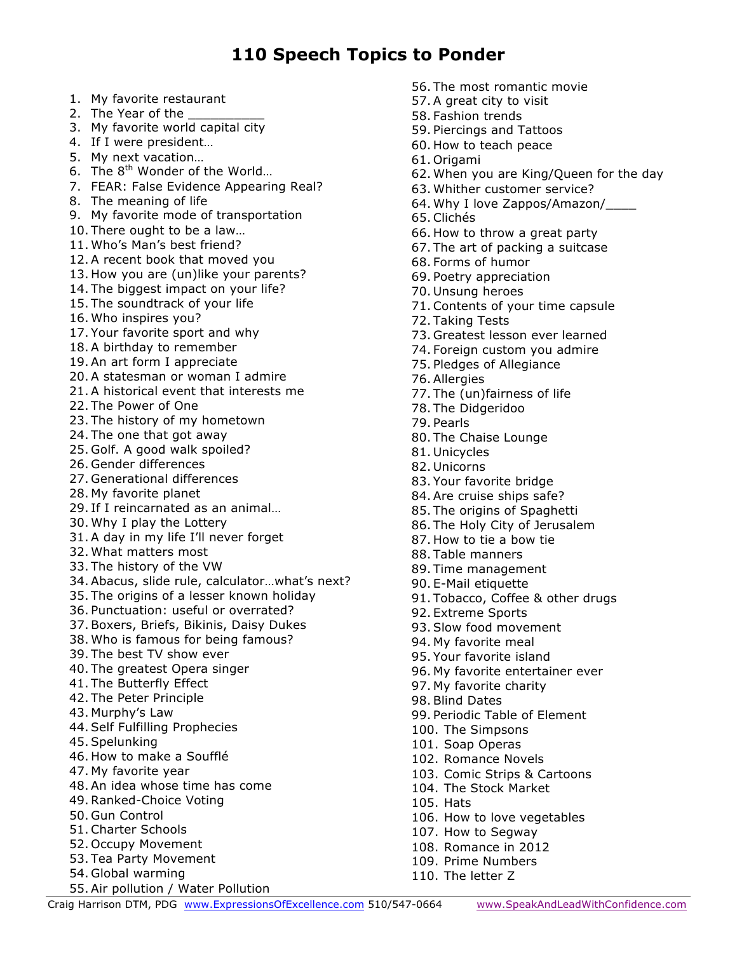### **110 Speech Topics to Ponder**

- 1. My favorite restaurant
- 2. The Year of the
- 3. My favorite world capital city
- 4. If I were president…
- 5. My next vacation…
- 6. The  $8<sup>th</sup>$  Wonder of the World...
- 7. FEAR: False Evidence Appearing Real?
- 8. The meaning of life
- 9. My favorite mode of transportation
- 10. There ought to be a law…
- 11. Who's Man's best friend?
- 12. A recent book that moved you
- 13. How you are (un)like your parents?
- 14. The biggest impact on your life?
- 15. The soundtrack of your life
- 16. Who inspires you?
- 17. Your favorite sport and why
- 18. A birthday to remember
- 19. An art form I appreciate
- 20. A statesman or woman I admire
- 21. A historical event that interests me
- 22. The Power of One
- 23. The history of my hometown
- 24. The one that got away
- 25. Golf. A good walk spoiled?
- 26. Gender differences
- 27. Generational differences
- 28. My favorite planet
- 29. If I reincarnated as an animal…
- 30. Why I play the Lottery
- 31. A day in my life I'll never forget
- 32. What matters most
- 33. The history of the VW
- 34. Abacus, slide rule, calculator…what's next?
- 35. The origins of a lesser known holiday
- 36. Punctuation: useful or overrated?
- 37. Boxers, Briefs, Bikinis, Daisy Dukes
- 38. Who is famous for being famous?
- 39. The best TV show ever
- 40. The greatest Opera singer
- 41. The Butterfly Effect
- 42. The Peter Principle
- 43. Murphy's Law
- 44. Self Fulfilling Prophecies
- 45. Spelunking
- 46. How to make a Soufflé
- 47. My favorite year
- 48. An idea whose time has come
- 49.Ranked-Choice Voting
- 50. Gun Control
- 51.Charter Schools
- 52. Occupy Movement
- 53. Tea Party Movement
- 54. Global warming
- Craig Harrison DTM, PDG www.ExpressionsOfExcellence.com 510/547-0664 www.SpeakAndLeadWithConfidence.com 55. Air pollution / Water Pollution
- 56. The most romantic movie
- 57. A great city to visit
- 58. Fashion trends
- 59. Piercings and Tattoos
- 60. How to teach peace
- 61. Origami
- 62. When you are King/Queen for the day
- 63. Whither customer service?
- 64. Why I love Zappos/Amazon/\_\_\_\_
- 65.Clichés
- 66. How to throw a great party
- 67. The art of packing a suitcase
- 68. Forms of humor
- 69. Poetry appreciation
- 70. Unsung heroes
- 71.Contents of your time capsule
- 72. Taking Tests
- 73. Greatest lesson ever learned
- 74. Foreign custom you admire
- 75. Pledges of Allegiance
- 76. Allergies
- 77. The (un)fairness of life
- 78. The Didgeridoo
- 79. Pearls
- 80. The Chaise Lounge
- 81. Unicycles
- 82. Unicorns
- 83. Your favorite bridge
- 84. Are cruise ships safe?
- 85. The origins of Spaghetti
- 86. The Holy City of Jerusalem
- 87. How to tie a bow tie
- 88. Table manners
- 89. Time management
- 90. E-Mail etiquette
- 91. Tobacco, Coffee & other drugs
- 92. Extreme Sports
- 93. Slow food movement
- 94. My favorite meal

100. The Simpsons 101. Soap Operas 102. Romance Novels

- 95. Your favorite island
- 96. My favorite entertainer ever
- 97. My favorite charity

104. The Stock Market

107. How to Segway 108. Romance in 2012 109. Prime Numbers 110. The letter Z

98. Blind Dates

105. Hats

99. Periodic Table of Element

103. Comic Strips & Cartoons

106. How to love vegetables